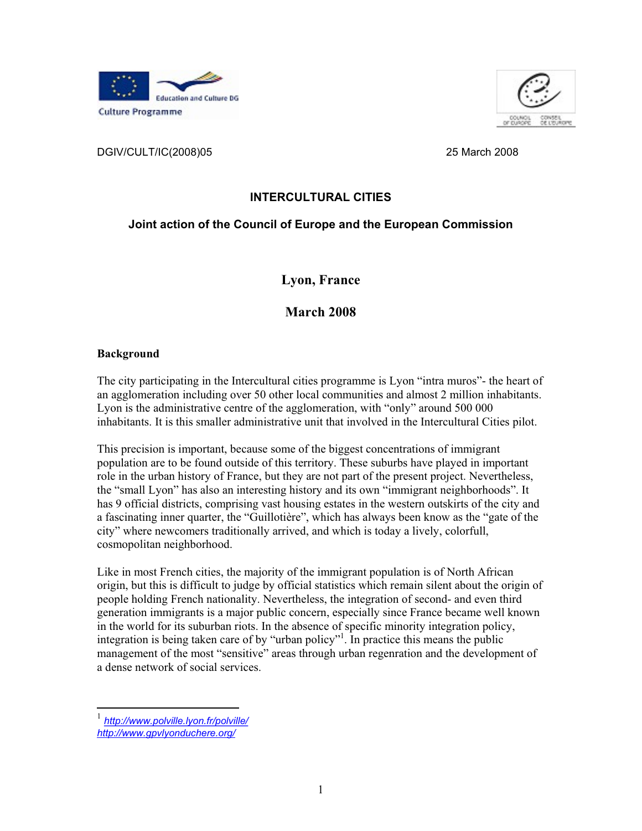



DGIV/CULT/IC(2008)05 25 March 2008

# **INTERCULTURAL CITIES**

# **Joint action of the Council of Europe and the European Commission**

**Lyon, France**

**March 2008**

# **Background**

The city participating in the Intercultural cities programme is Lyon "intra muros"- the heart of an agglomeration including over 50 other local communities and almost 2 million inhabitants.<br>Lyon is the administrative centre of the agglomeration, with "only" around 500 000<br>inhabitants. It is this smaller administrative

This precision is important, because some of the biggest concentrations of immigrant population are to be found outside of this territory. These suburbs have played in important role in the urban history of France, but they are not part of the present project. Nevertheless, the "small Lyon" has also an interesting history and its own "immigrant neighborhoods". It has 9 official districts, comprising vast housing estates in the western outskirts of the city and<br>a fascinating inner quarter, the "Guillotière", which has always been know as the "gate of the<br>city" where newcomers tradit

generation immigrants is a major public concern, especially since France became well known in the world for its suburban riots. In the absence of specific minority integration policy, integration is being taken care of by "urban policy"<sup>1</sup>. In practice this means the public management of the most "sensitive" areas through urban regenration and the development of a dense network of social services.

<sup>1</sup> *http://www.polville.lyon.fr/polville/*

*http://www.gpvlyonduchere.org/*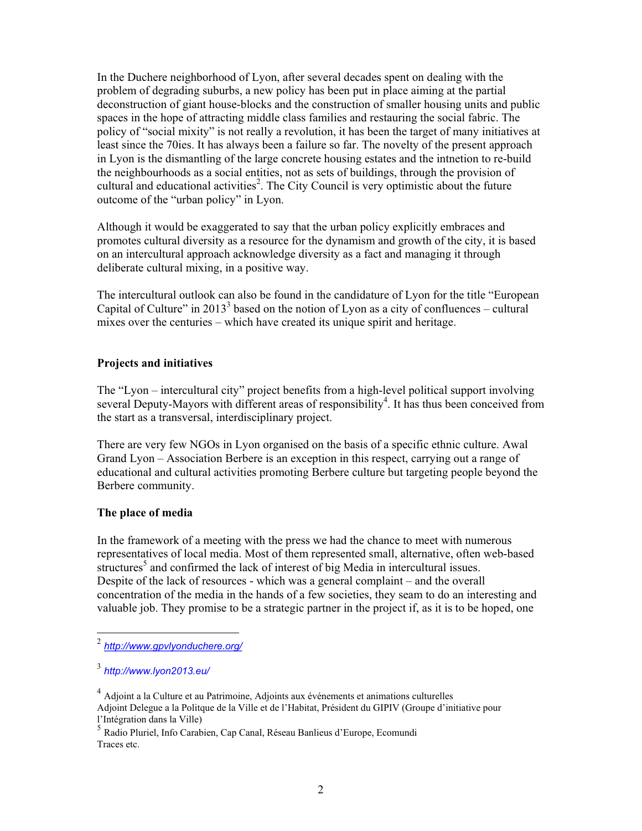In the Duchere neighborhood of Lyon, after several decades spent on dealing with the problem of degrading suburbs, a new policy has been put in place aiming at the partial deconstruction of giant house-blocks and the construction of smaller housing units and public spaces in the hope of attracting middle class families and restauring the social fabric. The policy of "social mixity" is not really a revolution, it has been the target of many initiatives at least since the 70ies. It has always been a failure so far. The novelty of the present approach in Lyon is the dismantling of the large concrete housing estates and the intnetion to re-build the neighbourhoods as a social entities, not as sets of buildings, through the provision of cultural and educational activities<sup>2</sup>. The City Council is very optimistic about the future outcome of the "urban policy" in Lyon. Although it would be exaggerated to say that the urban policy explicitly embraces and

promotes cultural diversity as a resource for the dynamism and growth of the city, it is based on an intercultural approach acknowledge diversity as a fact and managing it through deliberate cultural mixing, in a positive way.

The intercultural outlook can also be found in the candidature of Lyon for the title "European Capital of Culture" in  $2013<sup>3</sup>$  based on the notion of Lyon as a city of confluences – cultural mixes over the centuries – which have created its unique spirit and heritage.

### **Projects and initiatives**

The "Lyon – intercultural city" project benefits from a high-level political support involving several Deputy-Mayors with different areas of responsibility<sup>4</sup>. It has thus been conceived from several Deputy-Mayors with different areas of responsibility<sup>4</sup>. It has thus been conceived from the start as a transversal, interdisciplinary project.

There are very few NGOs in Lyon organised on the basis of a specific ethnic culture. Awal Grand Lyon – Association Berbere is an exception in this respect, carrying out a range of educational and cultural activities promoting Berbere culture but targeting people beyond the Berbere community.

#### **The place of media**

In the framework of a meeting with the press we had the chance to meet with numerous representatives of local media. Most of them represented small, alternative, often web-based structures<sup>5</sup> and confirmed the lack of interest of big Media in intercultural issues. Despite of the lack of resources - which was a general complaint – and the overall<br>concentration of the media in the hands of a few societies, they seam to do an interesting and<br>valuable job. They promise to be a strategic

<sup>2</sup> *http://www.gpvlyonduchere.org/*

<sup>3</sup> *http://www.lyon2013.eu/*

<sup>&</sup>lt;sup>4</sup> Adjoint a la Culture et au Patrimoine, Adjoints aux événements et animations culturelles Adjoint Delegue a la Politque de la Ville et de l'Habitat, Président du GIPIV (Groupe d'initiative pour l'Intégration dans la Ville) <sup>5</sup>

Radio Pluriel, Info Carabien, Cap Canal, Réseau Banlieus d'Europe, Ecomundi Traces etc.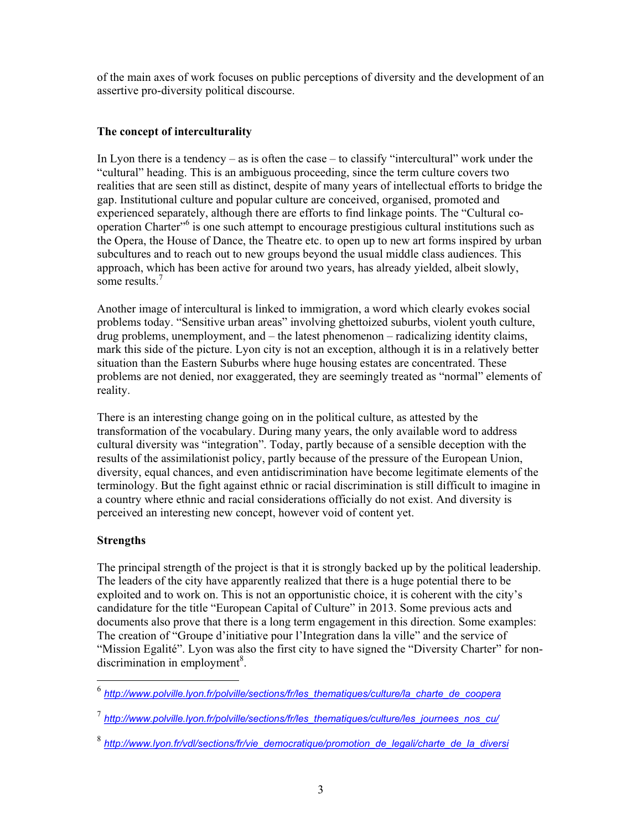of the main axes of work focuses on public perceptions of diversity and the development of an assertive pro-diversity political discourse.

## **The concept of interculturality**

In Lyon there is a tendency – as is often the case – to classify "intercultural" work under the "cultural" heading. This is an ambiguous proceeding, since the term culture covers two realities that are seen still as disti operation Charter"<sup>6</sup> is one such attempt to encourage prestigious cultural institutions such as the Opera, the House of Dance, the Theatre etc. to open up to new art forms inspired by urban subcultures and to reach out to new groups beyond the usual middle class audiences. This approach, which has been active for around two years, has already yielded, albeit slowly, some results.<sup>7</sup>

Another image of intercultural is linked to immigration, a word which clearly evokes social problems today. "Sensitive urban areas" involving ghettoized suburbs, violent youth culture, drug problems, unemployment, and – the latest phenomenon – radicalizing identity claims, mark this side of the picture. Lyon city is not an exception, although it is in a relatively better situation than the Eastern Suburbs where huge housing estates are concentrated. These problems are not denied, nor exaggerated, they are seemingly treated as "normal" elements of reality.

There is an interesting change going on in the political culture, as attested by the transformation of the vocabulary. During many years, the only available word to address cultural diversity was "integration". Today, partly because of a sensible deception with the results of the assimilationist policy, partly because of the pressure of the European Union, diversity, equal chances, and even antidiscrimination have become legitimate elements of the terminology. But the fight against ethnic or racial discrimination is still difficult to imagine in a country where ethnic and racial considerations officially do not exist. And diversity is perceived an interesting new concept, however void of content yet.

# **Strengths**

The principal strength of the project is that it is strongly backed up by the political leadership.<br>The leaders of the city have apparently realized that there is a huge potential there to be<br>exploited and to work on. This "Mission Egalité". Lyon was also the first city to have signed the "Diversity Charter" for non discrimination in employment<sup>8</sup>.

<sup>6</sup> *http://www.polville.lyon.fr/polville/sections/fr/les\_thematiques/culture/la\_charte\_de\_coopera*

<sup>7</sup> *http://www.polville.lyon.fr/polville/sections/fr/les\_thematiques/culture/les\_journees\_nos\_cu/*

<sup>8</sup> *http://www.lyon.fr/vdl/sections/fr/vie\_democratique/promotion\_de\_legali/charte\_de\_la\_diversi*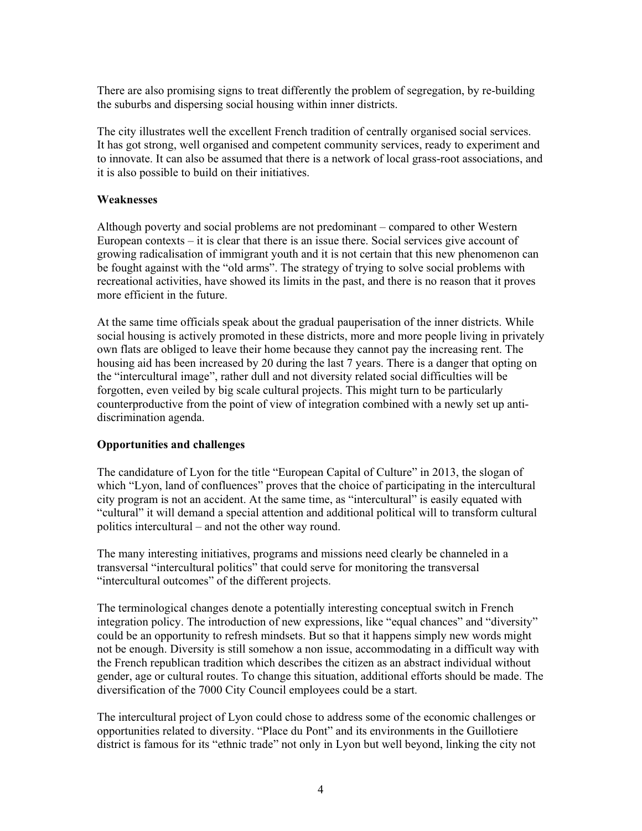There are also promising signs to treat differently the problem of segregation, by re-building the suburbs and dispersing social housing within inner districts.

The city illustrates well the excellent French tradition of centrally organised social services. It has got strong, well organised and competent community services, ready to experiment and to innovate. It can also be assumed that there is a network of local grass-root associations, and it is also possible to build on their initiatives.

### **Weaknesses**

Although poverty and social problems are not predominant – compared to other Western European contexts – it is clear that there is an issue there. Social services give account of growing radicalisation of immigrant youth and it is not certain that this new phenomenon can be fought against with the "old arms". The strategy of trying to solve social problems with recreational activities, have showed its limits in the past, and there is no reason that it proves more efficient in the future.

At the same time officials speak about the gradual pauperisation of the inner districts. While social housing is actively promoted in these districts, more and more people living in privately own flats are obliged to leave their home because they cannot pay the increasing rent. The housing aid has been increased by 20 during the last 7 years. There is a danger that opting on the "intercultural image", rather dull and not diversity related social difficulties will be forgotten, even veiled by big scale cultural projects. This might turn to be particularly counterproductive from the point of view of integration combined with a newly set up anti discrimination agenda.

# **Opportunities and challenges**

The candidature of Lyon for the title "European Capital of Culture" in 2013, the slogan of which "Lyon, land of confluences" proves that the choice of participating in the intercultural city program is not an accident. At the same time, as "intercultural" is easily equated with "cultural" it will demand a special attention and additional political will to transform cultural

politics intercultural – and not the other way round.<br>The many interesting initiatives, programs and missions need clearly be channeled in a<br>transversal "intercultural politics" that could serve for monitoring the transver "intercultural outcomes" of the different projects.

The terminological changes denote a potentially interesting conceptual switch in French<br>integration policy. The introduction of new expressions, like "equal chances" and "diversity"<br>could be an opportunity to refresh minds not be enough. Diversity is still somehow a non issue, accommodating in a difficult way with the French republican tradition which describes the citizen as an abstract individual without gender, age or cultural routes. To change this situation, additional efforts should be made. The diversification of the 7000 City Council employees could be a start.

The intercultural project of Lyon could chose to address some of the economic challenges or opportunities related to diversity. "Place du Pont" and its environments in the Guillotiere district is famous for its "ethnic trade" not only in Lyon but well beyond, linking the city not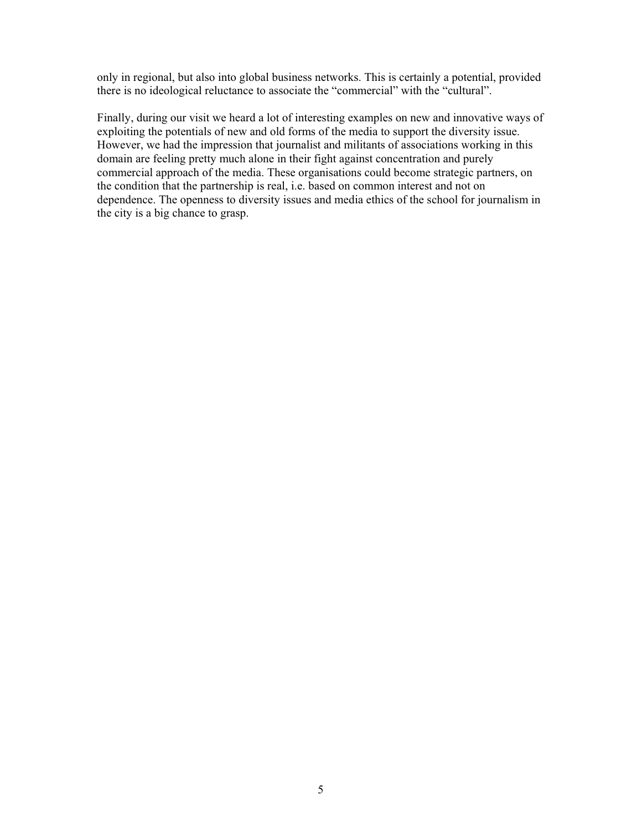only in regional, but also into global business networks. This is certainly a potential, provided there is no ideological reluctance to associate the "commercial" with the "cultural".

Finally, during our visit we heard a lot of interesting examples on new and innovative ways of exploiting the potentials of new and old forms of the media to support the diversity issue. However, we had the impression that journalist and militants of associations working in this domain are feeling pretty much alone in their fight against concentration and purely<br>commercial approach of the media. These organisations could become strategic partners, on<br>the condition that the partnership is real, i.e the city is a big chance to grasp.